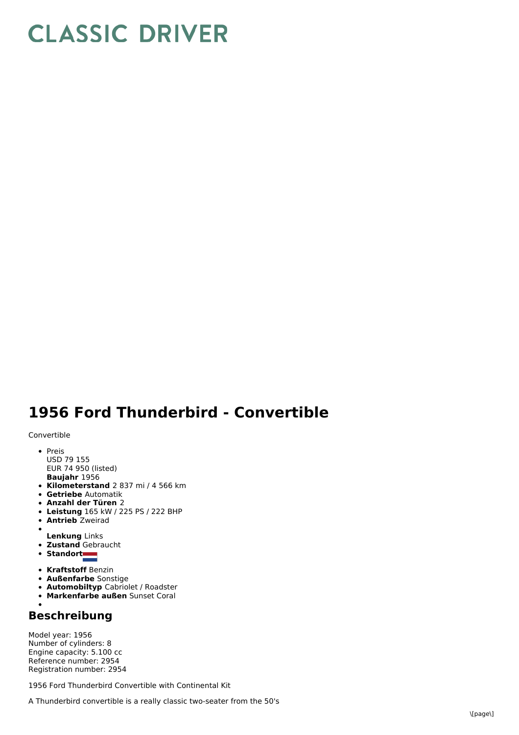## **CLASSIC DRIVER**

## **1956 Ford Thunderbird - Convertible**

Convertible

- **Baujahr** 1956 • Preis USD 79 155 EUR 74 950 (listed)
- **Kilometerstand** 2 837 mi / 4 566 km
- **Getriebe** Automatik
- **Anzahl der Türen** 2
- **Leistung** 165 kW /225 PS / 222 BHP
- **Antrieb** Zweirad
- $\bullet$
- **Lenkung** Links **Zustand** Gebraucht
- Standort
- 
- **Kraftstoff** Benzin
- **Außenfarbe** Sonstige
- **Automobiltyp** Cabriolet / Roadster
- **Markenfarbe außen** Sunset Coral

## **Beschreibung**

Model year: 1956 Number of cylinders: 8 Engine capacity: 5.100 cc Reference number: 2954 Registration number: 2954

1956 Ford Thunderbird Convertible with Continental Kit

A Thunderbird convertible is a really classic two-seater from the 50's